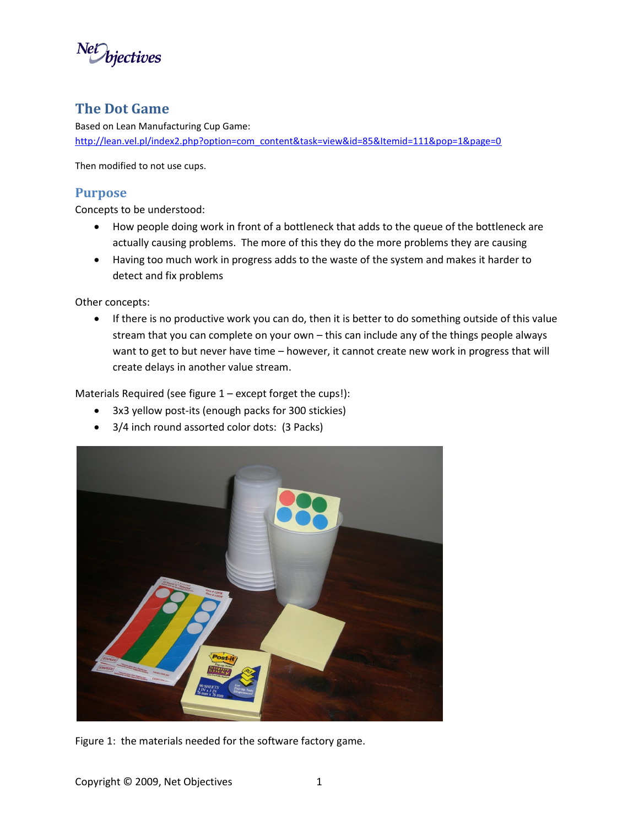

# **The Dot Game**

Based on Lean Manufacturing Cup Game: [http://lean.vel.pl/index2.php?option=com\\_content&task=view&id=85&Itemid=111&pop=1&page=0](http://lean.vel.pl/index2.php?option=com_content&task=view&id=85&Itemid=111&pop=1&page=0)

Then modified to not use cups.

## **Purpose**

Concepts to be understood:

- How people doing work in front of a bottleneck that adds to the queue of the bottleneck are actually causing problems. The more of this they do the more problems they are causing
- Having too much work in progress adds to the waste of the system and makes it harder to detect and fix problems

Other concepts:

 If there is no productive work you can do, then it is better to do something outside of this value stream that you can complete on your own – this can include any of the things people always want to get to but never have time – however, it cannot create new work in progress that will create delays in another value stream.

Materials Required (see figure 1 – except forget the cups!):

- 3x3 yellow post-its (enough packs for 300 stickies)
- 3/4 inch round assorted color dots: (3 Packs)



Figure 1: the materials needed for the software factory game.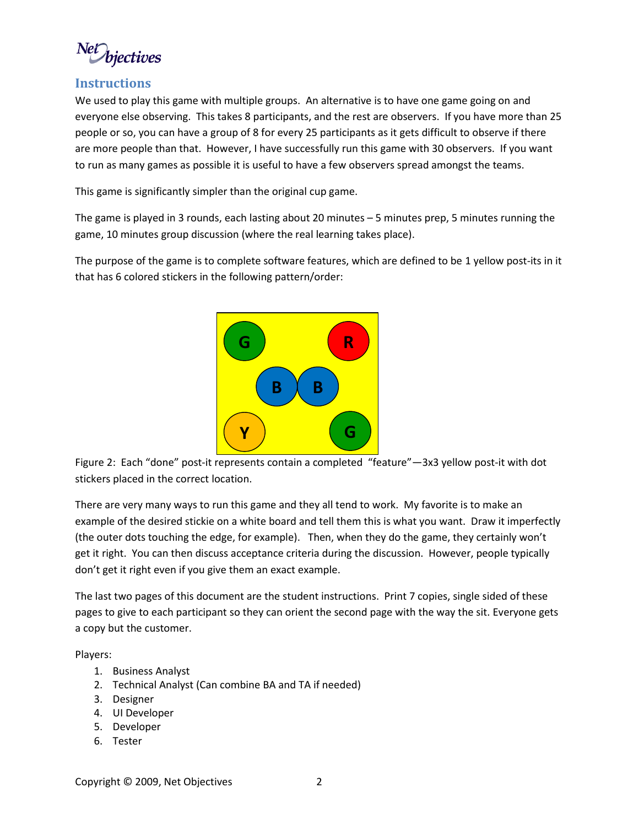biectives

### **Instructions**

We used to play this game with multiple groups. An alternative is to have one game going on and everyone else observing. This takes 8 participants, and the rest are observers. If you have more than 25 people or so, you can have a group of 8 for every 25 participants as it gets difficult to observe if there are more people than that. However, I have successfully run this game with 30 observers. If you want to run as many games as possible it is useful to have a few observers spread amongst the teams.

This game is significantly simpler than the original cup game.

The game is played in 3 rounds, each lasting about 20 minutes – 5 minutes prep, 5 minutes running the game, 10 minutes group discussion (where the real learning takes place).

The purpose of the game is to complete software features, which are defined to be 1 yellow post-its in it that has 6 colored stickers in the following pattern/order:



Figure 2: Each "done" post-it represents contain a completed "feature"—3x3 yellow post-it with dot stickers placed in the correct location.

There are very many ways to run this game and they all tend to work. My favorite is to make an example of the desired stickie on a white board and tell them this is what you want. Draw it imperfectly (the outer dots touching the edge, for example). Then, when they do the game, they certainly won't get it right. You can then discuss acceptance criteria during the discussion. However, people typically don't get it right even if you give them an exact example.

The last two pages of this document are the student instructions. Print 7 copies, single sided of these pages to give to each participant so they can orient the second page with the way the sit. Everyone gets a copy but the customer.

Players:

- 1. Business Analyst
- 2. Technical Analyst (Can combine BA and TA if needed)
- 3. Designer
- 4. UI Developer
- 5. Developer
- 6. Tester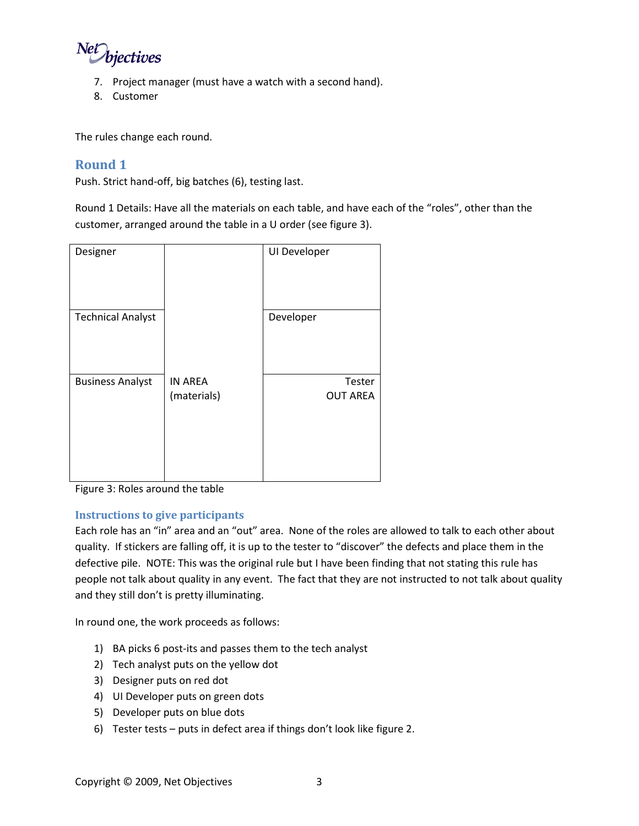

- 7. Project manager (must have a watch with a second hand).
- 8. Customer

The rules change each round.

### **Round 1**

Push. Strict hand-off, big batches (6), testing last.

Round 1 Details: Have all the materials on each table, and have each of the "roles", other than the customer, arranged around the table in a U order (see figure 3).

| Designer                 |                               | UI Developer              |
|--------------------------|-------------------------------|---------------------------|
| <b>Technical Analyst</b> |                               | Developer                 |
| <b>Business Analyst</b>  | <b>IN AREA</b><br>(materials) | Tester<br><b>OUT AREA</b> |

Figure 3: Roles around the table

### **Instructions to give participants**

Each role has an "in" area and an "out" area. None of the roles are allowed to talk to each other about quality. If stickers are falling off, it is up to the tester to "discover" the defects and place them in the defective pile. NOTE: This was the original rule but I have been finding that not stating this rule has people not talk about quality in any event. The fact that they are not instructed to not talk about quality and they still don't is pretty illuminating.

In round one, the work proceeds as follows:

- 1) BA picks 6 post-its and passes them to the tech analyst
- 2) Tech analyst puts on the yellow dot
- 3) Designer puts on red dot
- 4) UI Developer puts on green dots
- 5) Developer puts on blue dots
- 6) Tester tests puts in defect area if things don't look like figure 2.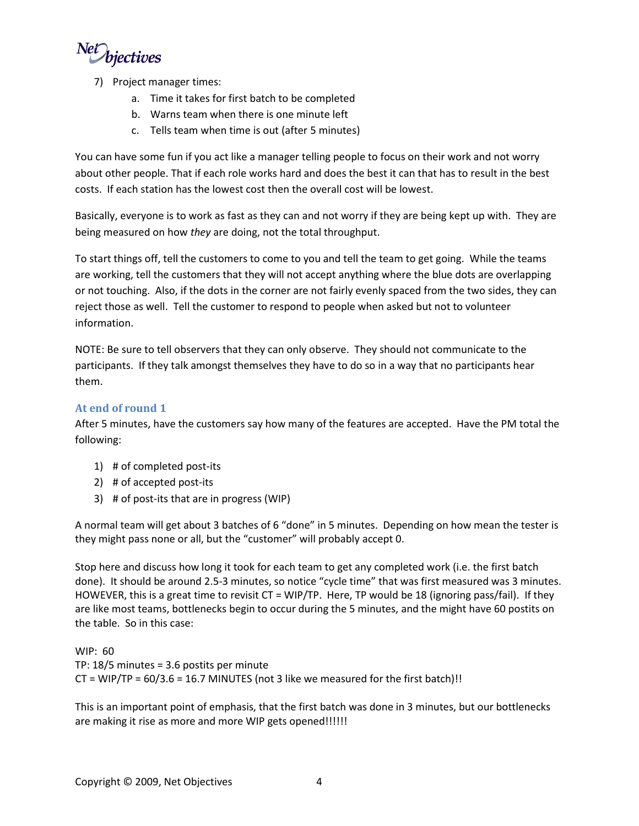NetDiectives

- 7) Project manager times:
	- a. Time it takes for first batch to be completed
	- b. Warns team when there is one minute left
	- c. Tells team when time is out (after 5 minutes)

You can have some fun if you act like a manager telling people to focus on their work and not worry about other people. That if each role works hard and does the best it can that has to result in the best costs. If each station has the lowest cost then the overall cost will be lowest.

Basically, everyone is to work as fast as they can and not worry if they are being kept up with. They are being measured on how *they* are doing, not the total throughput.

To start things off, tell the customers to come to you and tell the team to get going. While the teams are working, tell the customers that they will not accept anything where the blue dots are overlapping or not touching. Also, if the dots in the corner are not fairly evenly spaced from the two sides, they can reject those as well. Tell the customer to respond to people when asked but not to volunteer information.

NOTE: Be sure to tell observers that they can only observe. They should not communicate to the participants. If they talk amongst themselves they have to do so in a way that no participants hear them.

### **At end of round 1**

After 5 minutes, have the customers say how many of the features are accepted. Have the PM total the following:

- 1) # of completed post-its
- 2) # of accepted post-its
- 3) # of post-its that are in progress (WIP)

A normal team will get about 3 batches of 6 "done" in 5 minutes. Depending on how mean the tester is they might pass none or all, but the "customer" will probably accept 0.

Stop here and discuss how long it took for each team to get any completed work (i.e. the first batch done). It should be around 2.5-3 minutes, so notice "cycle time" that was first measured was 3 minutes. HOWEVER, this is a great time to revisit CT = WIP/TP. Here, TP would be 18 (ignoring pass/fail). If they are like most teams, bottlenecks begin to occur during the 5 minutes, and the might have 60 postits on the table. So in this case:

WIP: 60 TP: 18/5 minutes = 3.6 postits per minute  $CT = WIP/TP = 60/3.6 = 16.7$  MINUTES (not 3 like we measured for the first batch)!!

This is an important point of emphasis, that the first batch was done in 3 minutes, but our bottlenecks are making it rise as more and more WIP gets opened!!!!!!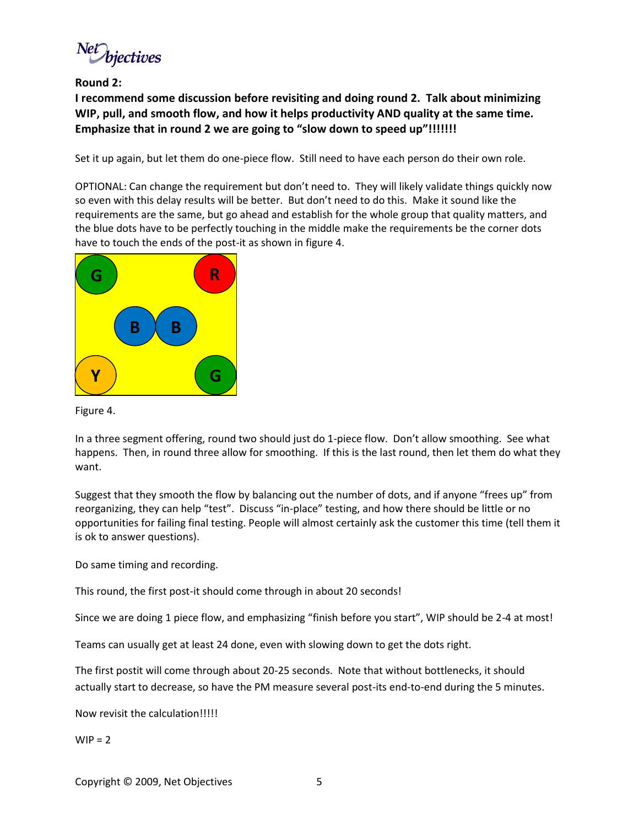nectives

**Round 2:** 

**I recommend some discussion before revisiting and doing round 2. Talk about minimizing WIP, pull, and smooth flow, and how it helps productivity AND quality at the same time. Emphasize that in round 2 we are going to "slow down to speed up"!!!!!!!**

Set it up again, but let them do one-piece flow. Still need to have each person do their own role.

OPTIONAL: Can change the requirement but don't need to. They will likely validate things quickly now so even with this delay results will be better. But don't need to do this. Make it sound like the requirements are the same, but go ahead and establish for the whole group that quality matters, and the blue dots have to be perfectly touching in the middle make the requirements be the corner dots have to touch the ends of the post-it as shown in figure 4.



#### Figure 4.

In a three segment offering, round two should just do 1-piece flow. Don't allow smoothing. See what happens. Then, in round three allow for smoothing. If this is the last round, then let them do what they want.

Suggest that they smooth the flow by balancing out the number of dots, and if anyone "frees up" from reorganizing, they can help "test". Discuss "in-place" testing, and how there should be little or no opportunities for failing final testing. People will almost certainly ask the customer this time (tell them it is ok to answer questions).

Do same timing and recording.

This round, the first post-it should come through in about 20 seconds!

Since we are doing 1 piece flow, and emphasizing "finish before you start", WIP should be 2-4 at most!

Teams can usually get at least 24 done, even with slowing down to get the dots right.

The first postit will come through about 20-25 seconds. Note that without bottlenecks, it should actually start to decrease, so have the PM measure several post-its end-to-end during the 5 minutes.

Now revisit the calculation!!!!!

 $WIP = 2$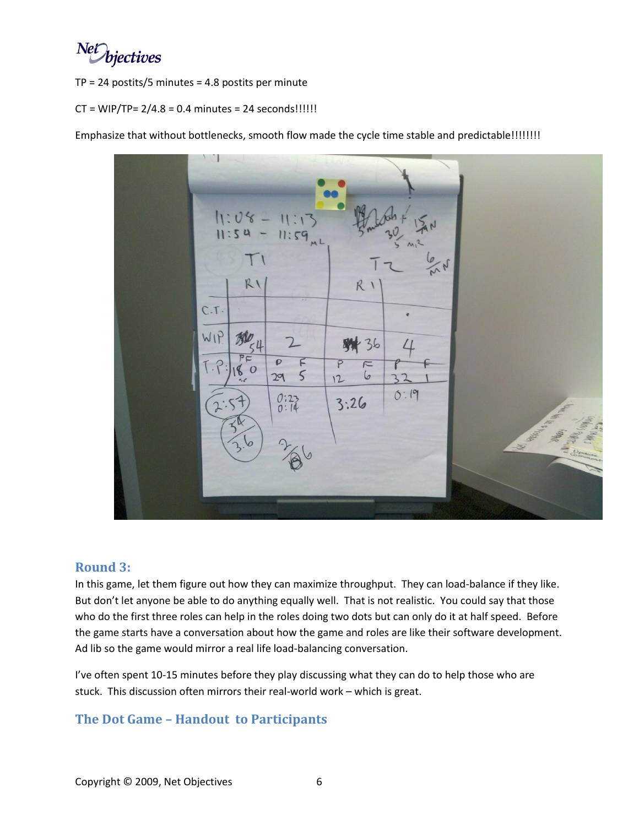Net bjectives

 $TP = 24$  postits/5 minutes = 4.8 postits per minute

### $CT = WIP/TP = 2/4.8 = 0.4$  minutes = 24 seconds!!!!!!

Emphasize that without bottlenecks, smooth flow made the cycle time stable and predictable!!!!!!!!



### **Round 3:**

In this game, let them figure out how they can maximize throughput. They can load-balance if they like. But don't let anyone be able to do anything equally well. That is not realistic. You could say that those who do the first three roles can help in the roles doing two dots but can only do it at half speed. Before the game starts have a conversation about how the game and roles are like their software development. Ad lib so the game would mirror a real life load-balancing conversation.

I've often spent 10-15 minutes before they play discussing what they can do to help those who are stuck. This discussion often mirrors their real-world work – which is great.

## **The Dot Game – Handout to Participants**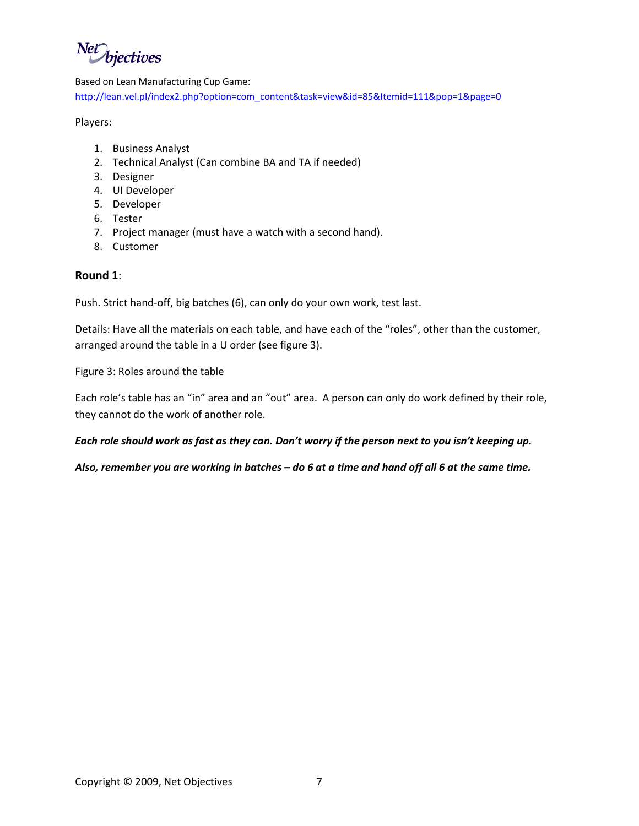NetWiectives

#### Based on Lean Manufacturing Cup Game:

[http://lean.vel.pl/index2.php?option=com\\_content&task=view&id=85&Itemid=111&pop=1&page=0](http://lean.vel.pl/index2.php?option=com_content&task=view&id=85&Itemid=111&pop=1&page=0)

Players:

- 1. Business Analyst
- 2. Technical Analyst (Can combine BA and TA if needed)
- 3. Designer
- 4. UI Developer
- 5. Developer
- 6. Tester
- 7. Project manager (must have a watch with a second hand).
- 8. Customer

### **Round 1**:

Push. Strict hand-off, big batches (6), can only do your own work, test last.

Details: Have all the materials on each table, and have each of the "roles", other than the customer, arranged around the table in a U order (see figure 3).

Figure 3: Roles around the table

Each role's table has an "in" area and an "out" area. A person can only do work defined by their role, they cannot do the work of another role.

### *Each role should work as fast as they can. Don't worry if the person next to you isn't keeping up.*

### *Also, remember you are working in batches – do 6 at a time and hand off all 6 at the same time.*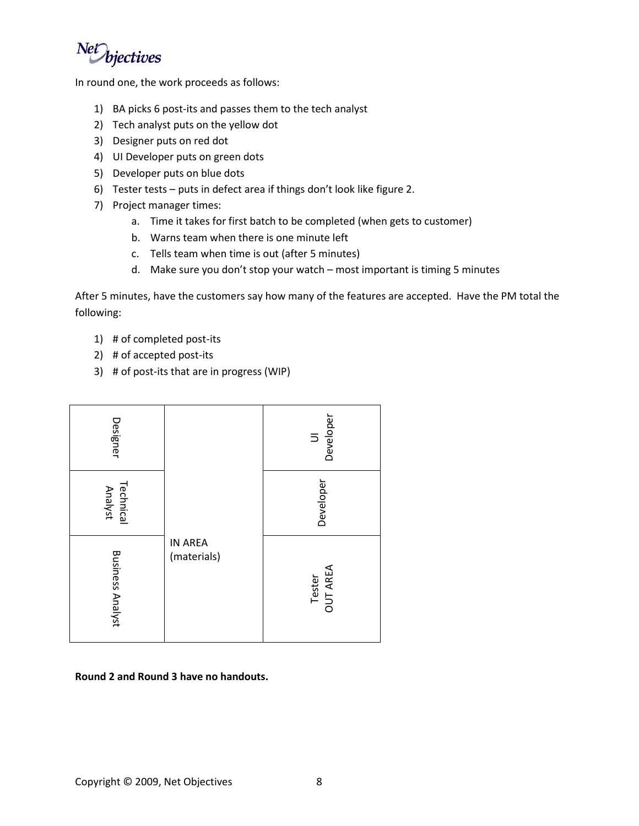Net bjectives

In round one, the work proceeds as follows:

- 1) BA picks 6 post-its and passes them to the tech analyst
- 2) Tech analyst puts on the yellow dot
- 3) Designer puts on red dot
- 4) UI Developer puts on green dots
- 5) Developer puts on blue dots
- 6) Tester tests puts in defect area if things don't look like figure 2.
- 7) Project manager times:
	- a. Time it takes for first batch to be completed (when gets to customer)
	- b. Warns team when there is one minute left
	- c. Tells team when time is out (after 5 minutes)
	- d. Make sure you don't stop your watch most important is timing 5 minutes

After 5 minutes, have the customers say how many of the features are accepted. Have the PM total the following:

- 1) # of completed post-its
- 2) # of accepted post-its
- 3) # of post-its that are in progress (WIP)



### **Round 2 and Round 3 have no handouts.**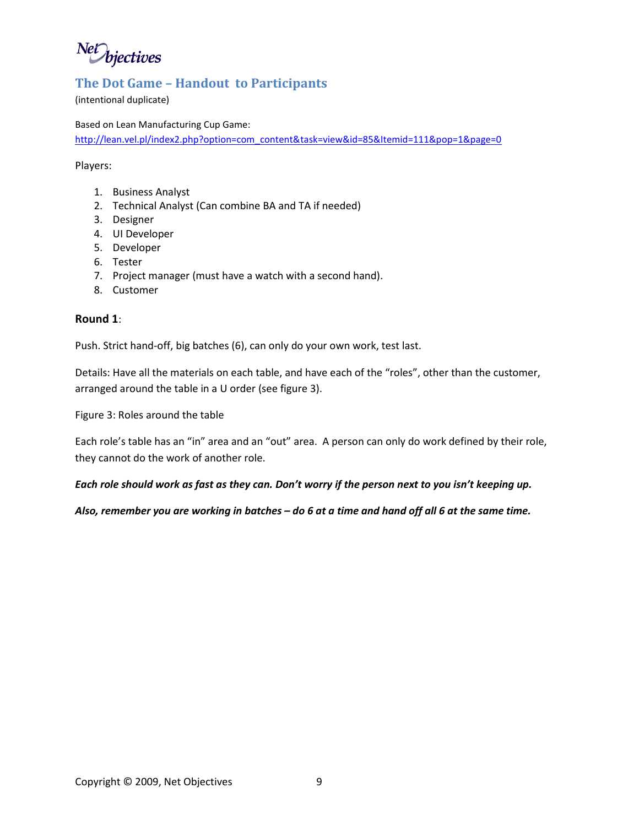Net bjectives

### **The Dot Game – Handout to Participants**

(intentional duplicate)

Based on Lean Manufacturing Cup Game:

[http://lean.vel.pl/index2.php?option=com\\_content&task=view&id=85&Itemid=111&pop=1&page=0](http://lean.vel.pl/index2.php?option=com_content&task=view&id=85&Itemid=111&pop=1&page=0)

Players:

- 1. Business Analyst
- 2. Technical Analyst (Can combine BA and TA if needed)
- 3. Designer
- 4. UI Developer
- 5. Developer
- 6. Tester
- 7. Project manager (must have a watch with a second hand).
- 8. Customer

### **Round 1**:

Push. Strict hand-off, big batches (6), can only do your own work, test last.

Details: Have all the materials on each table, and have each of the "roles", other than the customer, arranged around the table in a U order (see figure 3).

Figure 3: Roles around the table

Each role's table has an "in" area and an "out" area. A person can only do work defined by their role, they cannot do the work of another role.

*Each role should work as fast as they can. Don't worry if the person next to you isn't keeping up.*

*Also, remember you are working in batches – do 6 at a time and hand off all 6 at the same time.*